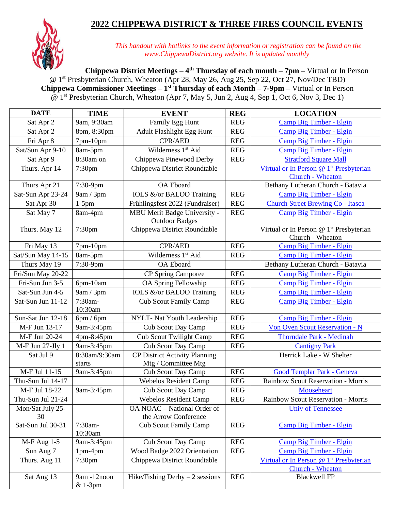## **2022 CHIPPEWA DISTRICT & THREE FIRES COUNCIL EVENTS**



*This handout with hotlinks to the event information or registration can be found on the www.ChippewaDistrict.org website. It is updated monthly*

**Chippewa District Meetings – 4 th Thursday of each month – 7pm –** Virtual or In Person @ 1<sup>st</sup> Presbyterian Church, Wheaton (Apr 28, May 26, Aug 25, Sep 22, Oct 27, Nov/Dec TBD) **Chippewa Commissioner Meetings – 1 st Thursday of each Month – 7-9pm –** Virtual or In Person @ 1<sup>st</sup> Presbyterian Church, Wheaton (Apr 7, May 5, Jun 2, Aug 4, Sep 1, Oct 6, Nov 3, Dec 1)

| <b>DATE</b>             | <b>TIME</b>              | <b>EVENT</b>                                          | <b>REG</b>           | <b>LOCATION</b>                                                         |
|-------------------------|--------------------------|-------------------------------------------------------|----------------------|-------------------------------------------------------------------------|
| Sat Apr 2               | 9am, 9:30am              | Family Egg Hunt                                       | <b>REG</b>           | Camp Big Timber - Elgin                                                 |
| Sat Apr 2               | 8pm, 8:30pm              | Adult Flashlight Egg Hunt                             | <b>REG</b>           | Camp Big Timber - Elgin                                                 |
| Fri Apr 8               | 7pm-10pm                 | <b>CPR/AED</b>                                        | <b>REG</b>           | Camp Big Timber - Elgin                                                 |
| Sat/Sun Apr 9-10        | 8am-5pm                  | Wilderness 1 <sup>st</sup> Aid                        | <b>REG</b>           | Camp Big Timber - Elgin                                                 |
| Sat Apr 9               | 8:30am on                | Chippewa Pinewood Derby                               | <b>REG</b>           | <b>Stratford Square Mall</b>                                            |
| Thurs. Apr 14           | 7:30pm                   | Chippewa District Roundtable                          |                      | Virtual or In Person @ 1 <sup>st</sup> Presbyterian<br>Church - Wheaton |
| Thurs Apr 21            | 7:30-9pm                 | <b>OA</b> Eboard                                      |                      | Bethany Lutheran Church - Batavia                                       |
| Sat-Sun Apr 23-24       | 9am / 3pm                | IOLS &/or BALOO Training                              | <b>REG</b>           | Camp Big Timber - Elgin                                                 |
| Sat Apr 30              | $1-5$ pm                 | Frühlingsfest 2022 (Fundraiser)                       | <b>REG</b>           | <b>Church Street Brewing Co - Itasca</b>                                |
| Sat May 7               | 8am-4pm                  | MBU Merit Badge University -<br><b>Outdoor Badges</b> | <b>REG</b>           | Camp Big Timber - Elgin                                                 |
| Thurs. May 12           | 7:30 <sub>pm</sub>       | Chippewa District Roundtable                          |                      | Virtual or In Person @ 1 <sup>st</sup> Presbyterian<br>Church - Wheaton |
| Fri May 13              | 7pm-10pm                 | CPR/AED                                               | <b>REG</b>           | Camp Big Timber - Elgin                                                 |
| Sat/Sun May 14-15       | 8am-5pm                  | Wilderness 1 <sup>st</sup> Aid                        | $\operatorname{REG}$ | Camp Big Timber - Elgin                                                 |
| Thurs May 19            | 7:30-9pm                 | <b>OA</b> Eboard                                      |                      | Bethany Lutheran Church - Batavia                                       |
| Fri/Sun May 20-22       |                          | <b>CP</b> Spring Camporee                             | <b>REG</b>           | Camp Big Timber - Elgin                                                 |
| Fri-Sun Jun 3-5         | 6pm-10am                 | OA Spring Fellowship                                  | <b>REG</b>           | Camp Big Timber - Elgin                                                 |
| Sat-Sun Jun 4-5         | 9am / 3pm                | IOLS &/or BALOO Training                              | <b>REG</b>           | Camp Big Timber - Elgin                                                 |
| Sat-Sun Jun 11-12       | 7:30am-<br>10:30am       | <b>Cub Scout Family Camp</b>                          | <b>REG</b>           | Camp Big Timber - Elgin                                                 |
| Sun-Sat Jun 12-18       | 6pm/6pm                  | NYLT- Nat Youth Leadership                            | <b>REG</b>           | Camp Big Timber - Elgin                                                 |
| M-F Jun 13-17           | 9am-3:45pm               | Cub Scout Day Camp                                    | <b>REG</b>           | Von Oven Scout Reservation - N                                          |
| M-F Jun 20-24           | 4pm-8:45pm               | <b>Cub Scout Twilight Camp</b>                        | <b>REG</b>           | <b>Thorndale Park - Medinah</b>                                         |
| M-F Jun 27-Jly 1        | 9am-3:45pm               | <b>Cub Scout Day Camp</b>                             | <b>REG</b>           | <b>Cantigny Park</b>                                                    |
| Sat Jul 9               | 8:30am/9:30am            | <b>CP District Activity Planning</b>                  |                      | Herrick Lake - W Shelter                                                |
|                         | starts                   | Mtg / Committee Mtg                                   |                      |                                                                         |
| M-F Jul 11-15           | 9am-3:45pm               | <b>Cub Scout Day Camp</b>                             | <b>REG</b>           | Good Templar Park - Geneva                                              |
| Thu-Sun Jul 14-17       |                          | <b>Webelos Resident Camp</b>                          | <b>REG</b>           | Rainbow Scout Reservation - Morris                                      |
| M-F Jul 18-22           | 9am-3:45pm               | <b>Cub Scout Day Camp</b>                             | <b>REG</b>           | Mooseheart                                                              |
| Thu-Sun Jul 21-24       |                          | <b>Webelos Resident Camp</b>                          | <b>REG</b>           | Rainbow Scout Reservation - Morris                                      |
| Mon/Sat July 25-        |                          | OA NOAC - National Order of                           |                      | <b>Univ of Tennessee</b>                                                |
| 30<br>Sat-Sun Jul 30-31 | 7:30am-                  | the Arrow Conference                                  |                      |                                                                         |
|                         | 10:30am                  | <b>Cub Scout Family Camp</b>                          | <b>REG</b>           | Camp Big Timber - Elgin                                                 |
| $M-F$ Aug 1-5           | 9am-3:45pm               | <b>Cub Scout Day Camp</b>                             | <b>REG</b>           | Camp Big Timber - Elgin                                                 |
| Sun Aug 7               | $1pm-4pm$                | Wood Badge 2022 Orientation                           | <b>REG</b>           | Camp Big Timber - Elgin                                                 |
| Thurs. Aug 11           | 7:30 <sub>pm</sub>       | Chippewa District Roundtable                          |                      | Virtual or In Person @ 1 <sup>st</sup> Presbyterian<br>Church - Wheaton |
| Sat Aug 13              | 9am -12noon<br>$& 1-3pm$ | Hike/Fishing Derby $-2$ sessions                      | <b>REG</b>           | <b>Blackwell FP</b>                                                     |